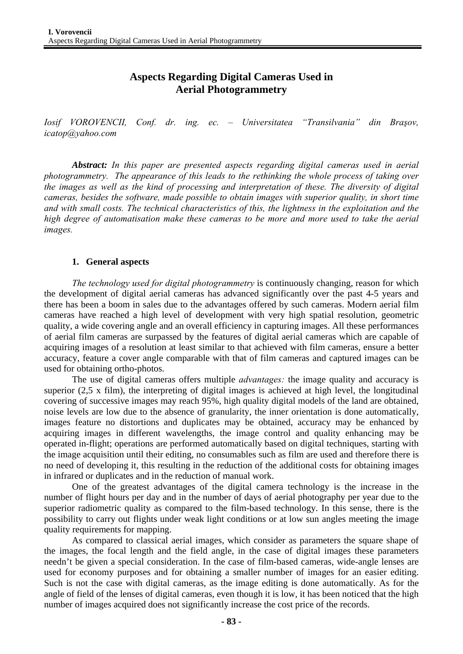# **Aspects Regarding Digital Cameras Used in Aerial Photogrammetry**

*Iosif VOROVENCII, Conf. dr. ing. ec. – Universitatea "Transilvania" din Braşov, icatop@yahoo.com* 

*Abstract: In this paper are presented aspects regarding digital cameras used in aerial photogrammetry. The appearance of this leads to the rethinking the whole process of taking over the images as well as the kind of processing and interpretation of these. The diversity of digital cameras, besides the software, made possible to obtain images with superior quality, in short time and with small costs. The technical characteristics of this, the lightness in the exploitation and the high degree of automatisation make these cameras to be more and more used to take the aerial images.* 

#### **1. General aspects**

*The technology used for digital photogrammetry* is continuously changing, reason for which the development of digital aerial cameras has advanced significantly over the past 4-5 years and there has been a boom in sales due to the advantages offered by such cameras. Modern aerial film cameras have reached a high level of development with very high spatial resolution, geometric quality, a wide covering angle and an overall efficiency in capturing images. All these performances of aerial film cameras are surpassed by the features of digital aerial cameras which are capable of acquiring images of a resolution at least similar to that achieved with film cameras, ensure a better accuracy, feature a cover angle comparable with that of film cameras and captured images can be used for obtaining ortho-photos.

The use of digital cameras offers multiple *advantages:* the image quality and accuracy is superior (2,5 x film), the interpreting of digital images is achieved at high level, the longitudinal covering of successive images may reach 95%, high quality digital models of the land are obtained, noise levels are low due to the absence of granularity, the inner orientation is done automatically, images feature no distortions and duplicates may be obtained, accuracy may be enhanced by acquiring images in different wavelengths, the image control and quality enhancing may be operated in-flight; operations are performed automatically based on digital techniques, starting with the image acquisition until their editing, no consumables such as film are used and therefore there is no need of developing it, this resulting in the reduction of the additional costs for obtaining images in infrared or duplicates and in the reduction of manual work.

One of the greatest advantages of the digital camera technology is the increase in the number of flight hours per day and in the number of days of aerial photography per year due to the superior radiometric quality as compared to the film-based technology. In this sense, there is the possibility to carry out flights under weak light conditions or at low sun angles meeting the image quality requirements for mapping.

 As compared to classical aerial images, which consider as parameters the square shape of the images, the focal length and the field angle, in the case of digital images these parameters needn't be given a special consideration. In the case of film-based cameras, wide-angle lenses are used for economy purposes and for obtaining a smaller number of images for an easier editing. Such is not the case with digital cameras, as the image editing is done automatically. As for the angle of field of the lenses of digital cameras, even though it is low, it has been noticed that the high number of images acquired does not significantly increase the cost price of the records.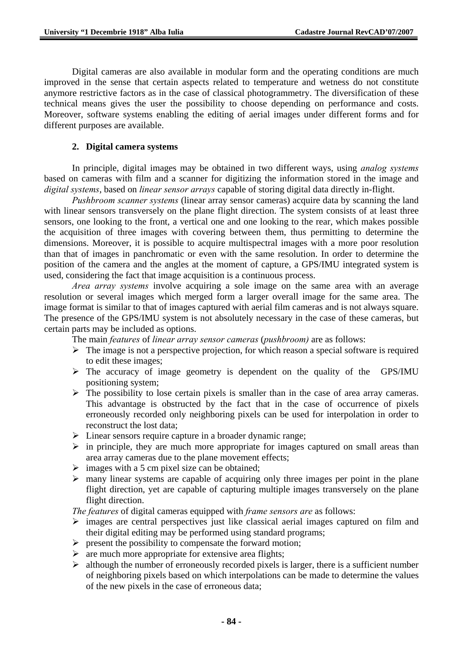Digital cameras are also available in modular form and the operating conditions are much improved in the sense that certain aspects related to temperature and wetness do not constitute anymore restrictive factors as in the case of classical photogrammetry. The diversification of these technical means gives the user the possibility to choose depending on performance and costs. Moreover, software systems enabling the editing of aerial images under different forms and for different purposes are available.

## **2. Digital camera systems**

In principle, digital images may be obtained in two different ways, using *analog systems* based on cameras with film and a scanner for digitizing the information stored in the image and *digital systems*, based on *linear sensor arrays* capable of storing digital data directly in-flight.

*Pushbroom scanner systems* (linear array sensor cameras) acquire data by scanning the land with linear sensors transversely on the plane flight direction. The system consists of at least three sensors, one looking to the front, a vertical one and one looking to the rear, which makes possible the acquisition of three images with covering between them, thus permitting to determine the dimensions. Moreover, it is possible to acquire multispectral images with a more poor resolution than that of images in panchromatic or even with the same resolution. In order to determine the position of the camera and the angles at the moment of capture, a GPS/IMU integrated system is used, considering the fact that image acquisition is a continuous process.

*Area array systems* involve acquiring a sole image on the same area with an average resolution or several images which merged form a larger overall image for the same area. The image format is similar to that of images captured with aerial film cameras and is not always square. The presence of the GPS/IMU system is not absolutely necessary in the case of these cameras, but certain parts may be included as options.

The main *features* of *linear array sensor cameras* (*pushbroom)* are as follows:

- $\triangleright$  The image is not a perspective projection, for which reason a special software is required to edit these images;
- $\triangleright$  The accuracy of image geometry is dependent on the quality of the GPS/IMU positioning system;
- $\triangleright$  The possibility to lose certain pixels is smaller than in the case of area array cameras. This advantage is obstructed by the fact that in the case of occurrence of pixels erroneously recorded only neighboring pixels can be used for interpolation in order to reconstruct the lost data;
- $\triangleright$  Linear sensors require capture in a broader dynamic range;
- $\triangleright$  in principle, they are much more appropriate for images captured on small areas than area array cameras due to the plane movement effects;
- $\triangleright$  images with a 5 cm pixel size can be obtained;
- $\triangleright$  many linear systems are capable of acquiring only three images per point in the plane flight direction, yet are capable of capturing multiple images transversely on the plane flight direction.

*The features* of digital cameras equipped with *frame sensors are* as follows:

- $\triangleright$  images are central perspectives just like classical aerial images captured on film and their digital editing may be performed using standard programs;
- $\triangleright$  present the possibility to compensate the forward motion;
- $\triangleright$  are much more appropriate for extensive area flights;
- $\triangleright$  although the number of erroneously recorded pixels is larger, there is a sufficient number of neighboring pixels based on which interpolations can be made to determine the values of the new pixels in the case of erroneous data;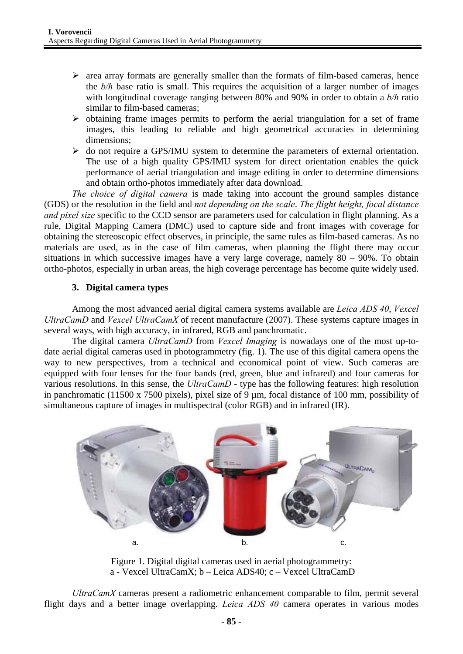- $\triangleright$  area array formats are generally smaller than the formats of film-based cameras, hence the *b/h* base ratio is small. This requires the acquisition of a larger number of images with longitudinal coverage ranging between 80% and 90% in order to obtain a *b/h* ratio similar to film-based cameras;
- $\triangleright$  obtaining frame images permits to perform the aerial triangulation for a set of frame images, this leading to reliable and high geometrical accuracies in determining dimensions;
- $\triangleright$  do not require a GPS/IMU system to determine the parameters of external orientation. The use of a high quality GPS/IMU system for direct orientation enables the quick performance of aerial triangulation and image editing in order to determine dimensions and obtain ortho-photos immediately after data download.

*The choice of digital camera* is made taking into account the ground samples distance (GDS) or the resolution in the field and *not depending on the scale*. *The flight height, focal distance and pixel size* specific to the CCD sensor are parameters used for calculation in flight planning. As a rule, Digital Mapping Camera (DMC) used to capture side and front images with coverage for obtaining the stereoscopic effect observes, in principle, the same rules as film-based cameras. As no materials are used, as in the case of film cameras, when planning the flight there may occur situations in which successive images have a very large coverage, namely 80 – 90%. To obtain ortho-photos, especially in urban areas, the high coverage percentage has become quite widely used.

#### **3. Digital camera types**

Among the most advanced aerial digital camera systems available are *Leica ADS 40*, *Vexcel UltraCamD* and *Vexcel UltraCamX* of recent manufacture (2007). These systems capture images in several ways, with high accuracy, in infrared, RGB and panchromatic.

The digital camera *UltraCamD* from *Vexcel Imaging* is nowadays one of the most up-todate aerial digital cameras used in photogrammetry (fig. 1). The use of this digital camera opens the way to new perspectives, from a technical and economical point of view. Such cameras are equipped with four lenses for the four bands (red, green, blue and infrared) and four cameras for various resolutions. In this sense, the *UltraCamD* - type has the following features: high resolution in panchromatic (11500 x 7500 pixels), pixel size of 9 µm, focal distance of 100 mm, possibility of simultaneous capture of images in multispectral (color RGB) and in infrared (IR).



Figure 1. Digital digital cameras used in aerial photogrammetry: a - Vexcel UltraCamX; b – Leica ADS40; c – Vexcel UltraCamD

*UltraCamX* cameras present a radiometric enhancement comparable to film, permit several flight days and a better image overlapping. *Leica ADS 40* camera operates in various modes